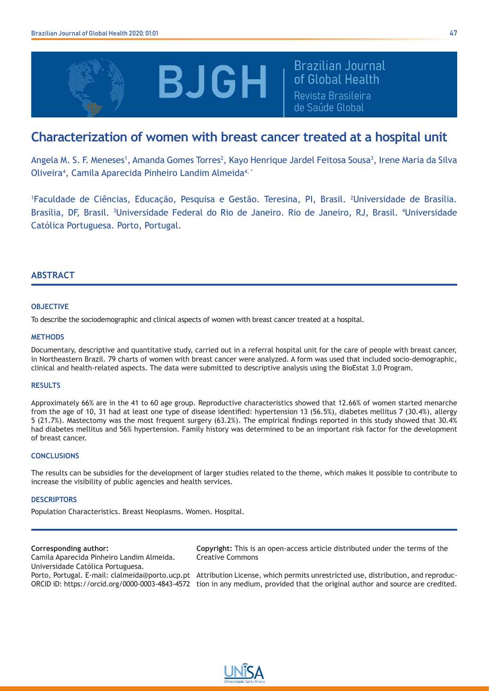

**Brazilian Journal** of Global Health Revista Brasileira de Saúde Global

# **Characterization of women with breast cancer treated at a hospital unit**

Angela M. S. F. Meneses<sup>1</sup>, Amanda Gomes Torres<sup>2</sup>, Kayo Henrique Jardel Feitosa Sousa<sup>3</sup>, Irene Maria da Silva Oliveira<sup>4</sup>, Camila Aparecida Pinheiro Landim Almeida<sup>4, \*</sup>

1 Faculdade de Ciências, Educação, Pesquisa e Gestão. Teresina, PI, Brasil. 2 Universidade de Brasília. Brasília, DF, Brasil. <sup>3</sup>Universidade Federal do Rio de Janeiro. Rio de Janeiro, RJ, Brasil. <sup>4</sup>Universidade Católica Portuguesa. Porto, Portugal.

## **ABSTRACT**

## **OBJECTIVE**

To describe the sociodemographic and clinical aspects of women with breast cancer treated at a hospital.

## **METHODS**

Documentary, descriptive and quantitative study, carried out in a referral hospital unit for the care of people with breast cancer, in Northeastern Brazil. 79 charts of women with breast cancer were analyzed. A form was used that included socio-demographic, clinical and health-related aspects. The data were submitted to descriptive analysis using the BioEstat 3.0 Program.

#### **RESULTS**

Approximately 66% are in the 41 to 60 age group. Reproductive characteristics showed that 12.66% of women started menarche from the age of 10, 31 had at least one type of disease identified: hypertension 13 (56.5%), diabetes mellitus 7 (30.4%), allergy 5 (21.7%). Mastectomy was the most frequent surgery (63.2%). The empirical findings reported in this study showed that 30.4% had diabetes mellitus and 56% hypertension. Family history was determined to be an important risk factor for the development of breast cancer.

#### **CONCLUSIONS**

The results can be subsidies for the development of larger studies related to the theme, which makes it possible to contribute to increase the visibility of public agencies and health services.

#### **DESCRIPTORS**

Population Characteristics. Breast Neoplasms. Women. Hospital.

#### **Corresponding author:**

Camila Aparecida Pinheiro Landim Almeida. Universidade Católica Portuguesa.

**Copyright:** This is an open-access article distributed under the terms of the Creative Commons

Porto, Portugal. E-mail: clalmeida@porto.ucp.pt Attribution License, which permits unrestricted use, distribution, and reproduc-ORCID iD: https://orcid.org/0000-0003-4843-4572 tion in any medium, provided that the original author and source are credited.

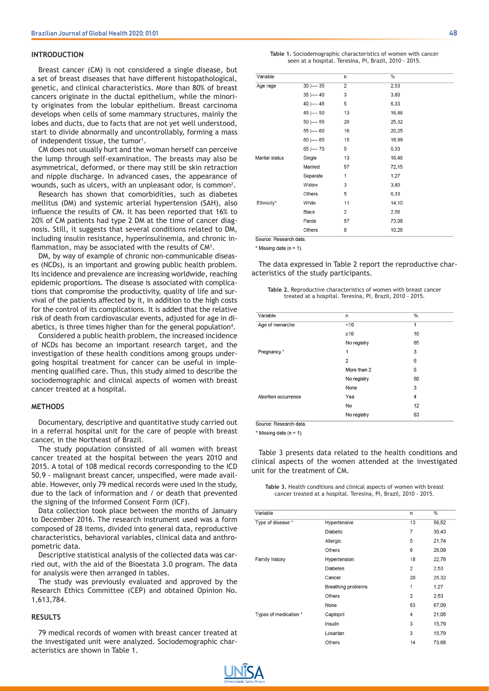#### **INTRODUCTION**

Breast cancer (CM) is not considered a single disease, but a set of breast diseases that have different histopathological, genetic, and clinical characteristics. More than 80% of breast cancers originate in the ductal epithelium, while the minority originates from the lobular epithelium. Breast carcinoma develops when cells of some mammary structures, mainly the lobes and ducts, due to facts that are not yet well understood, start to divide abnormally and uncontrollably, forming a mass of independent tissue, the tumor<sup>1</sup>.

CM does not usually hurt and the woman herself can perceive the lump through self-examination. The breasts may also be asymmetrical, deformed, or there may still be skin retraction and nipple discharge. In advanced cases, the appearance of wounds, such as ulcers, with an unpleasant odor, is common<sup>2</sup>.

Research has shown that comorbidities, such as diabetes mellitus (DM) and systemic arterial hypertension (SAH), also influence the results of CM. It has been reported that 16% to 20% of CM patients had type 2 DM at the time of cancer diagnosis. Still, it suggests that several conditions related to DM, including insulin resistance, hyperinsulinemia, and chronic inflammation, may be associated with the results of  $CM<sup>3</sup>$ .

DM, by way of example of chronic non-communicable diseases (NCDs), is an important and growing public health problem. Its incidence and prevalence are increasing worldwide, reaching epidemic proportions. The disease is associated with complications that compromise the productivity, quality of life and survival of the patients affected by it, in addition to the high costs for the control of its complications. It is added that the relative risk of death from cardiovascular events, adjusted for age in diabetics, is three times higher than for the general population<sup>4</sup>.

Considered a public health problem, the increased incidence of NCDs has become an important research target, and the investigation of these health conditions among groups undergoing hospital treatment for cancer can be useful in implementing qualified care. Thus, this study aimed to describe the sociodemographic and clinical aspects of women with breast cancer treated at a hospital.

#### **METHODS**

Documentary, descriptive and quantitative study carried out in a referral hospital unit for the care of people with breast cancer, in the Northeast of Brazil.

The study population consisted of all women with breast cancer treated at the hospital between the years 2010 and 2015. A total of 108 medical records corresponding to the ICD 50.9 - malignant breast cancer, unspecified, were made available. However, only 79 medical records were used in the study, due to the lack of information and / or death that prevented the signing of the Informed Consent Form (ICF).

Data collection took place between the months of January to December 2016. The research instrument used was a form composed of 28 items, divided into general data, reproductive characteristics, behavioral variables, clinical data and anthropometric data.

Descriptive statistical analysis of the collected data was carried out, with the aid of the Bioestata 3.0 program. The data for analysis were then arranged in tables.

The study was previously evaluated and approved by the Research Ethics Committee (CEP) and obtained Opinion No. 1,613,784.

## **RESULTS**

79 medical records of women with breast cancer treated at the investigated unit were analyzed. Sociodemographic characteristics are shown in Table 1.

|                                                        | Table 1. Sociodemographic characteristics of women with cancer |
|--------------------------------------------------------|----------------------------------------------------------------|
| seen at a hospital. Teresina, PI, Brazil, 2010 - 2015. |                                                                |

| Variable       |                | n                       | $\%$  |  |
|----------------|----------------|-------------------------|-------|--|
| Age rage       | $30$ ---- $35$ | $\overline{2}$          | 2,53  |  |
|                | $35$ ---- 40   | 3                       | 3,80  |  |
|                | 40 ---- 45     | 5                       | 6,33  |  |
|                | 45 ---- 50     | 13                      | 16,46 |  |
|                | 50 ---- 55     | 20                      | 25,32 |  |
|                | $55$ ---- 60   | 16                      | 20,25 |  |
|                | $60$ ---- $65$ | 15                      | 18,99 |  |
|                | 65 ---- 70     | 5                       | 6,33  |  |
| Marital status | Single         | 13                      | 16,46 |  |
|                | Married        | 57                      | 72,15 |  |
|                | Separate       | 1                       | 1,27  |  |
|                | Widow          | 3                       | 3,80  |  |
|                | Others         | 5                       | 6,33  |  |
| Ethnicity*     | White          | 11                      | 14,10 |  |
|                | <b>Black</b>   | $\overline{\mathbf{c}}$ | 2,56  |  |
|                | Parda          | 57                      | 73,08 |  |
|                | Others         | 8                       | 10,26 |  |
|                |                |                         |       |  |

Source: Research data

\* Missing data ( $n = 1$ ).

The data expressed in Table 2 report the reproductive characteristics of the study participants.

| Table 2. Reproductive characteristics of women with breast cancer |  |
|-------------------------------------------------------------------|--|
| treated at a hospital. Teresina, PI, Brazil, 2010 - 2015.         |  |

| Variable            | n              | $\frac{0}{0}$ |
|---------------------|----------------|---------------|
| Age of menarche     | ~10            | 1             |
|                     | $\geq 10$      | 10            |
|                     | No registry    | 65            |
| Pregnancy*          | 1              | 3             |
|                     | $\overline{2}$ | 6             |
|                     | More than 2    | 6             |
|                     | No registry    | 60            |
|                     | None           | 3             |
| Abortion occurrence | Yea            | 4             |
|                     | No             | 12            |
|                     | No registry    | 63            |

Source: Research data

\* Missing data ( $n = 1$ ).

Table 3 presents data related to the health conditions and clinical aspects of the women attended at the investigated unit for the treatment of CM.

**Table 3.** Health conditions and clinical aspects of women with breast cancer treated at a hospital. Teresina, PI, Brazil, 2010 - 2015.

| Variable              |                    | n              | $\frac{0}{6}$ |
|-----------------------|--------------------|----------------|---------------|
| Type of disease *     | Hypertensive       | 13             | 56,52         |
|                       | <b>Diabetic</b>    | $\overline{7}$ | 30,43         |
|                       | Allergic           | 5              | 21,74         |
|                       | Others             | 6              | 26,09         |
| Family history        | Hypertension       | 18             | 22,78         |
|                       | <b>Diabetes</b>    | $\overline{2}$ | 2,53          |
|                       | Cancer             | 20             | 25,32         |
|                       | Breathing problems | 1              | 1,27          |
|                       | Others             | $\overline{2}$ | 2,53          |
|                       | None               | 53             | 67,09         |
| Types of medication * | Captopril          | 4              | 21,05         |
|                       | Insulin            | 3              | 15,79         |
|                       | Losartan           | 3              | 15,79         |
|                       | Others             | 14             | 73,68         |

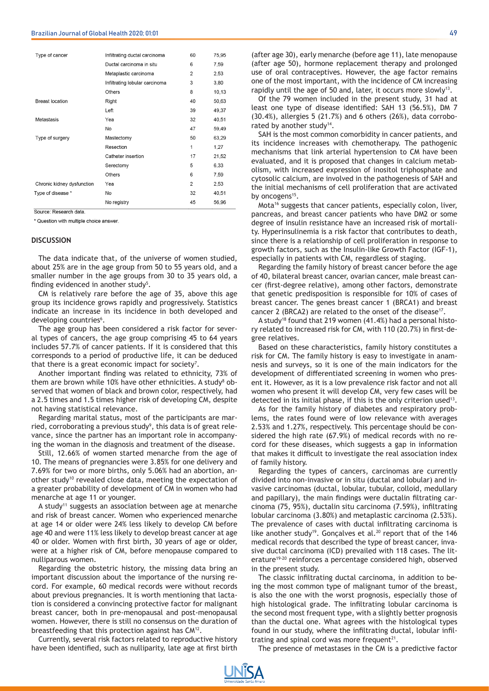| Type of cancer             | Infiltrating ductal carcinoma  | 60             | 75,95 |
|----------------------------|--------------------------------|----------------|-------|
|                            | Ductal carcinoma in situ       | 6              | 7,59  |
|                            | Metaplastic carcinoma          | 2              | 2,53  |
|                            | Infiltrating lobular carcinoma | 3              | 3.80  |
|                            | Others                         | 8              | 10,13 |
| <b>Breast location</b>     | Right                          | 40             | 50,63 |
|                            | Left                           | 39             | 49,37 |
| Metastasis                 | Yea                            | 32             | 40.51 |
|                            | No                             | 47             | 59,49 |
| Type of surgery            | Mastectomy                     | 50             | 63,29 |
|                            | Resection                      | 1              | 1.27  |
|                            | Catheter insertion             | 17             | 21,52 |
|                            | Serectomy                      | 5              | 6,33  |
|                            | Others                         | 6              | 7,59  |
| Chronic kidney dysfunction | Yea                            | $\overline{2}$ | 2,53  |
| Type of disease *          | No                             | 32             | 40,51 |
|                            | No registry                    | 45             | 56,96 |
|                            |                                |                |       |

Source: Research data

\* Question with multiple choice answer.

#### **DISCUSSION**

The data indicate that, of the universe of women studied, about 25% are in the age group from 50 to 55 years old, and a smaller number in the age groups from 30 to 35 years old, a finding evidenced in another study<sup>5</sup>.

CM is relatively rare before the age of 35, above this age group its incidence grows rapidly and progressively. Statistics indicate an increase in its incidence in both developed and developing countries<sup>6</sup>.

The age group has been considered a risk factor for several types of cancers, the age group comprising 45 to 64 years includes 57.7% of cancer patients. If it is considered that this corresponds to a period of productive life, it can be deduced that there is a great economic impact for society<sup>7</sup>.

Another important finding was related to ethnicity, 73% of them are brown while 10% have other ethnicities. A study<sup>8</sup> observed that women of black and brown color, respectively, had a 2.5 times and 1.5 times higher risk of developing CM, despite not having statistical relevance.

Regarding marital status, most of the participants are married, corroborating a previous study<sup>9</sup>, this data is of great relevance, since the partner has an important role in accompanying the woman in the diagnosis and treatment of the disease.

Still, 12.66% of women started menarche from the age of 10. The means of pregnancies were 3.85% for one delivery and 7.69% for two or more births, only 5.06% had an abortion, another study<sup>10</sup> revealed close data, meeting the expectation of a greater probability of development of CM in women who had menarche at age 11 or younger.

A study<sup>11</sup> suggests an association between age at menarche and risk of breast cancer. Women who experienced menarche at age 14 or older were 24% less likely to develop CM before age 40 and were 11% less likely to develop breast cancer at age 40 or older. Women with first birth, 30 years of age or older, were at a higher risk of CM, before menopause compared to nulliparous women.

Regarding the obstetric history, the missing data bring an important discussion about the importance of the nursing record. For example, 60 medical records were without records about previous pregnancies. It is worth mentioning that lactation is considered a convincing protective factor for malignant breast cancer, both in pre-menopausal and post-menopausal women. However, there is still no consensus on the duration of breastfeeding that this protection against has CM12.

Currently, several risk factors related to reproductive history have been identified, such as nulliparity, late age at first birth

Of the 79 women included in the present study, 31 had at least one type of disease identified: SAH 13 (56.5%), DM 7 (30.4%), allergies 5 (21.7%) and 6 others (26%), data corroborated by another study<sup>14</sup>.

SAH is the most common comorbidity in cancer patients, and its incidence increases with chemotherapy. The pathogenic mechanisms that link arterial hypertension to CM have been evaluated, and it is proposed that changes in calcium metabolism, with increased expression of inositol triphosphate and cytosolic calcium, are involved in the pathogenesis of SAH and the initial mechanisms of cell proliferation that are activated by oncogens<sup>15</sup>.

Mota<sup>16</sup> suggests that cancer patients, especially colon, liver, pancreas, and breast cancer patients who have DM2 or some degree of insulin resistance have an increased risk of mortality. Hyperinsulinemia is a risk factor that contributes to death, since there is a relationship of cell proliferation in response to growth factors, such as the Insulin-like Growth Factor (IGF-1), especially in patients with CM, regardless of staging.

Regarding the family history of breast cancer before the age of 40, bilateral breast cancer, ovarian cancer, male breast cancer (first-degree relative), among other factors, demonstrate that genetic predisposition is responsible for 10% of cases of breast cancer. The genes breast cancer 1 (BRCA1) and breast cancer 2 (BRCA2) are related to the onset of the disease<sup>17</sup>.

A study18 found that 219 women (41.4%) had a personal history related to increased risk for CM, with 110 (20.7%) in first-degree relatives.

Based on these characteristics, family history constitutes a risk for CM. The family history is easy to investigate in anamnesis and surveys, so it is one of the main indicators for the development of differentiated screening in women who present it. However, as it is a low prevalence risk factor and not all women who present it will develop CM, very few cases will be detected in its initial phase, if this is the only criterion used<sup>13</sup>.

As for the family history of diabetes and respiratory problems, the rates found were of low relevance with averages 2.53% and 1.27%, respectively. This percentage should be considered the high rate (67.9%) of medical records with no record for these diseases, which suggests a gap in information that makes it difficult to investigate the real association index of family history.

Regarding the types of cancers, carcinomas are currently divided into non-invasive or in situ (ductal and lobular) and invasive carcinomas (ductal, lobular, tubular, colloid, medullary and papillary), the main findings were ductalin filtrating carcinoma (75, 95%), ductalin situ carcinoma (7.59%), infiltrating lobular carcinoma (3.80%) and metaplastic carcinoma (2.53%). The prevalence of cases with ductal infiltrating carcinoma is like another study<sup>19</sup>. Gonçalves et al.<sup>20</sup> report that of the 146 medical records that described the type of breast cancer, invasive ductal carcinoma (ICD) prevailed with 118 cases. The literature<sup>19-20</sup> reinforces a percentage considered high, observed in the present study.

The classic infiltrating ductal carcinoma, in addition to being the most common type of malignant tumor of the breast, is also the one with the worst prognosis, especially those of high histological grade. The infiltrating lobular carcinoma is the second most frequent type, with a slightly better prognosis than the ductal one. What agrees with the histological types found in our study, where the infiltrating ductal, lobular infiltrating and spinal cord was more frequent $21$ .

The presence of metastases in the CM is a predictive factor



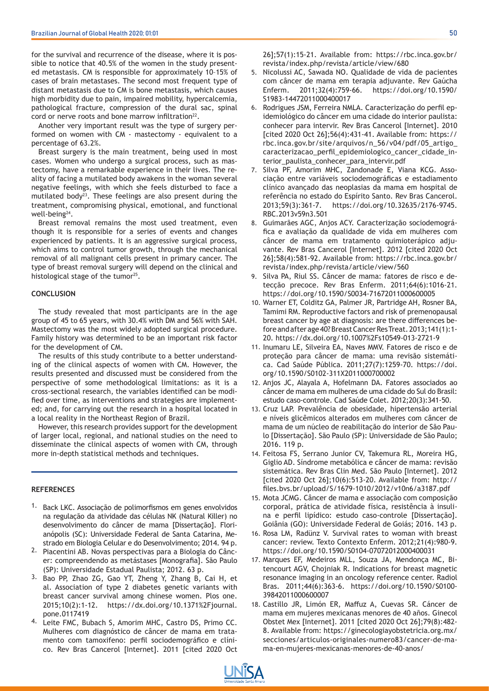for the survival and recurrence of the disease, where it is possible to notice that 40.5% of the women in the study presented metastasis. CM is responsible for approximately 10–15% of cases of brain metastases. The second most frequent type of distant metastasis due to CM is bone metastasis, which causes high morbidity due to pain, impaired mobility, hypercalcemia, pathological fracture, compression of the dural sac, spinal cord or nerve roots and bone marrow infiltration<sup>22</sup>.

Another very important result was the type of surgery performed on women with CM - mastectomy - equivalent to a percentage of 63.2%.

Breast surgery is the main treatment, being used in most cases. Women who undergo a surgical process, such as mastectomy, have a remarkable experience in their lives. The reality of facing a mutilated body awakens in the woman several negative feelings, with which she feels disturbed to face a mutilated body<sup>23</sup>. These feelings are also present during the treatment, compromising physical, emotional, and functional well-being24.

Breast removal remains the most used treatment, even though it is responsible for a series of events and changes experienced by patients. It is an aggressive surgical process, which aims to control tumor growth, through the mechanical removal of all malignant cells present in primary cancer. The type of breast removal surgery will depend on the clinical and histological stage of the tumor<sup>25</sup>.

#### **CONCLUSION**

The study revealed that most participants are in the age group of 45 to 65 years, with 30.4% with DM and 56% with SAH. Mastectomy was the most widely adopted surgical procedure. Family history was determined to be an important risk factor for the development of CM.

The results of this study contribute to a better understanding of the clinical aspects of women with CM. However, the results presented and discussed must be considered from the perspective of some methodological limitations: as it is a cross-sectional research, the variables identified can be modified over time, as interventions and strategies are implemented; and, for carrying out the research in a hospital located in a local reality in the Northeast Region of Brazil.

However, this research provides support for the development of larger local, regional, and national studies on the need to disseminate the clinical aspects of women with CM, through more in-depth statistical methods and techniques.

#### **REFERENCES**

- 1. Back LKC. Associação de polimorfismos em genes envolvidos na regulação da atividade das células NK (Natural Killer) no desenvolvimento do câncer de mama [Dissertação]. Florianópolis (SC): Universidade Federal de Santa Catarina, Mestrado em Biologia Celular e do Desenvolvimento; 2014. 94 p.
- <sup>2.</sup> Piacentini AB. Novas perspectivas para a Biologia do Câncer: compreendendo as metástases [Monografia]. São Paulo (SP): Universidade Estadual Paulista; 2012. 63 p.
- 3. Bao PP, Zhao ZG, Gao YT, Zheng Y, Zhang B, Cai H, et al. Association of type 2 diabetes genetic variants with breast cancer survival among chinese women. Plos one. 2015;10(2):1-12. https://dx.doi.org/10.1371%2Fjournal. pone.0117419
- 4. Leite FMC, Bubach S, Amorim MHC, Castro DS, Primo CC. Mulheres com diagnóstico de câncer de mama em tratamento com tamoxifeno: perfil sociodemográfico e clínico. Rev Bras Cancerol [Internet]. 2011 [cited 2020 Oct
- 5. Nicolussi AC, Sawada NO. Qualidade de vida de pacientes com câncer de mama em terapia adjuvante. Rev Gaúcha Enferm. 2011;32(4):759-66. https://doi.org/10.1590/ S1983-14472011000400017
- 6. Rodrigues JSM, Ferreira NMLA. Caracterização do perfil epidemiológico do câncer em uma cidade do interior paulista: conhecer para intervir. Rev Bras Cancerol [Internet]. 2010 [cited 2020 Oct 26];56(4):431-41. Available from: https:// rbc.inca.gov.br/site/arquivos/n\_56/v04/pdf/05\_artigo\_ caracterizacao\_perfil\_epidemiologico\_cancer\_cidade\_interior\_paulista\_conhecer\_para\_intervir.pdf
- 7. Silva PF, Amorim MHC, Zandonade E, Viana KCG. Associação entre variáveis sociodemográficas e estadiamento clínico avançado das neoplasias da mama em hospital de referência no estado do Espírito Santo. Rev Bras Cancerol. 2013;59(3):361-7. https://doi.org/10.32635/2176-9745. RBC.2013v59n3.501
- 8. Guimarães AGC, Anjos ACY. Caracterização sociodemográfica e avaliação da qualidade de vida em mulheres com câncer de mama em tratamento quimioterápico adjuvante. Rev Bras Cancerol [Internet]. 2012 [cited 2020 Oct 26];58(4):581-92. Available from: https://rbc.inca.gov.br/ revista/index.php/revista/article/view/560
- Silva PA, Riul SS. Câncer de mama: fatores de risco e detecção precoce. Rev Bras Enferm. 2011;64(6):1016-21. https://doi.org/10.1590/S0034-71672011000600005 9.
- 10. Warner ET, Colditz GA, Palmer JR, Partridge AH, Rosner BA, Tamimi RM. Reproductive factors and risk of premenopausal breast cancer by age at diagnosis: are there differences before and after age 40? Breast Cancer Res Treat. 2013;141(1):1- 20. https://dx.doi.org/10.1007%2Fs10549-013-2721-9
- 11. Inumaru LE, Silveira EA, Naves MMV. Fatores de risco e de proteção para câncer de mama: uma revisão sistemática. Cad Saúde Pública. 2011;27(7):1259-70. https://doi. org/10.1590/S0102-311X2011000700002
- 12. Anjos JC, Alayala A, Hofelmann DA. Fatores associados ao câncer de mama em mulheres de uma cidade do Sul do Brasil: estudo caso-controle. Cad Saúde Colet. 2012;20(3):341-50.
- 13. Cruz LAP. Prevalência de obesidade, hipertensão arterial e níveis glicêmicos alterados em mulheres com câncer de mama de um núcleo de reabilitação do interior de São Paulo [Dissertação]. São Paulo (SP): Universidade de São Paulo; 2016. 119 p.
- 14. Feitosa FS, Serrano Junior CV, Takemura RL, Moreira HG, Giglio AD. Síndrome metabólica e câncer de mama: revisão sistemática. Rev Bras Clin Med. São Paulo [Internet]. 2012 [cited 2020 Oct 26];10(6):513-20. Available from: http:// files.bvs.br/upload/S/1679-1010/2012/v10n6/a3187.pdf
- Mota JCMG. Câncer de mama e associação com composição 15. corporal, prática de atividade física, resistência à insulina e perfil lipídico: estudo caso-controle [Dissertação]. Goiânia (GO): Universidade Federal de Goiás; 2016. 143 p.
- 16. Rosa LM, Radünz V. Survival rates to woman with breast cancer: review. Texto Contexto Enferm. 2012;21(4):980-9. https://doi.org/10.1590/S0104-07072012000400031
- 17. Marques EF, Medeiros MLL, Souza JA, Mendonça MC, Bitencourt AGV, Chojniak R. Indications for breast magnetic resonance imaging in an oncology reference center. Radiol Bras. 2011;44(6):363-6. https://doi.org/10.1590/S0100- 39842011000600007
- 18. Castillo JR, Limón ER, Maffuz A, Cuevas SR. Cáncer de mama em mujeres mexicanas menores de 40 años. Ginecol Obstet Mex [Internet]. 2011 [cited 2020 Oct 26];79(8):482- 8. Available from: https://ginecologiayobstetricia.org.mx/ secciones/articulos-originales-numero83/cancer-de-mama-en-mujeres-mexicanas-menores-de-40-anos/